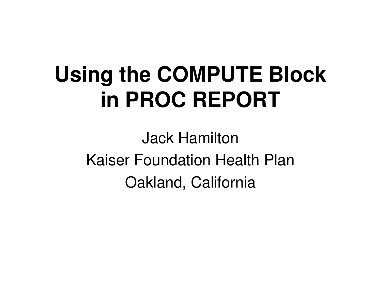## **Using the COMPUTE Block in PROC REPORT**

Jack Hamilton Kaiser Foundation Health Plan Oakland, California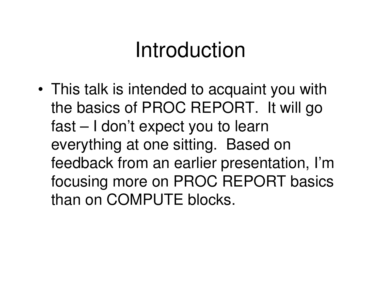• This talk is intended to acquaint you with the basics of PROC REPORT. It will go fast – I don't expect you to learn everything at one sitting. Based on feedback from an earlier presentation, I'm focusing more on PROC REPORT basics than on COMPUTE blocks.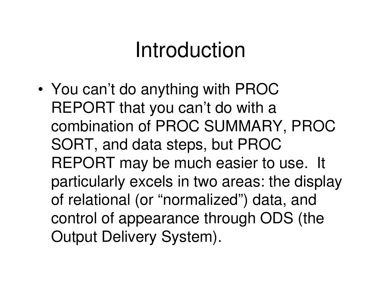• You can't do anything with PROC REPORT that you can't do with <sup>a</sup> combination of PROC SUMMARY, PROC SORT, and data steps, but PROC REPORT may be much easier to use. It particularly excels in two areas: the display of relational (or "normalized") data, and control of appearance through ODS (the Output Delivery System).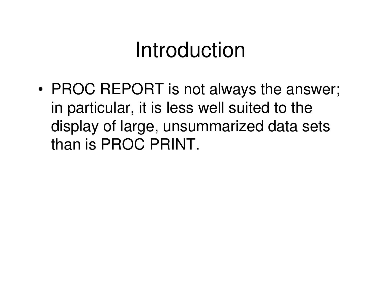• PROC REPORT is not always the answer; in particular, it is less well suited to the display of large, unsummarized data sets than is PROC PRINT.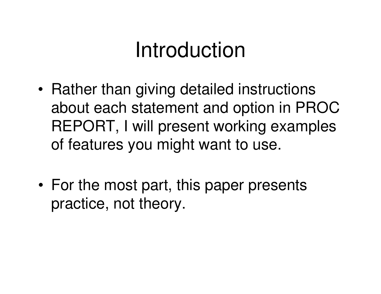- •• Rather than giving detailed instructions about each statement and option in PROC REPORT, I will present working examples of features you might want to use.
- •• For the most part, this paper presents practice, not theory.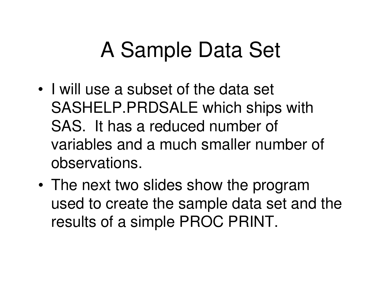- I will use a subset of the data set SASHELP.PRDSALE which ships with SAS. It has a reduced number of variables and a much smaller number of observations.
- The next two slides show the program used to create the sample data set and the results of <sup>a</sup> simple PROC PRINT.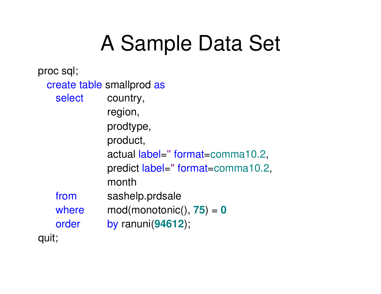proc sql; create table smallprod as select country, region, prodtype, product, actual label=''format=comma10.2, predict label=" format=comma10.2, monthfrom sashelp.prdsale where mod(monotonic(), **75**) <sup>=</sup> **0** order by ranuni(**94612**); quit;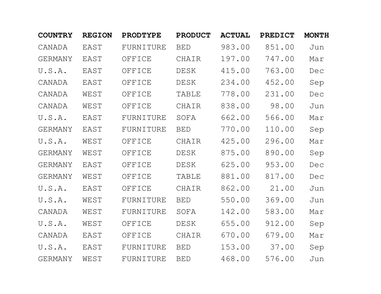| <b>COUNTRY</b> | <b>REGION</b> | <b>PRODTYPE</b> | <b>PRODUCT</b> | <b>ACTUAL</b> | <b>PREDICT</b> | <b>MONTH</b> |
|----------------|---------------|-----------------|----------------|---------------|----------------|--------------|
| CANADA         | EAST          | FURNITURE       | <b>BED</b>     | 983.00        | 851.00         | Jun          |
| <b>GERMANY</b> | EAST          | OFFICE          | CHAIR          | 197.00        | 747.00         | Mar          |
| U.S.A.         | EAST          | OFFICE          | <b>DESK</b>    | 415.00        | 763.00         | Dec          |
| CANADA         | EAST          | OFFICE          | <b>DESK</b>    | 234.00        | 452.00         | Sep          |
| CANADA         | WEST          | OFFICE          | <b>TABLE</b>   | 778.00        | 231.00         | Dec          |
| CANADA         | WEST          | OFFICE          | CHAIR          | 838.00        | 98.00          | Jun          |
| U.S.A.         | EAST          | FURNITURE       | SOFA           | 662.00        | 566.00         | Mar          |
| <b>GERMANY</b> | EAST          | FURNITURE       | <b>BED</b>     | 770.00        | 110.00         | Sep          |
| U.S.A.         | WEST          | OFFICE          | CHAIR          | 425.00        | 296.00         | Mar          |
| <b>GERMANY</b> | WEST          | OFFICE          | <b>DESK</b>    | 875.00        | 890.00         | Sep          |
| <b>GERMANY</b> | EAST          | OFFICE          | <b>DESK</b>    | 625.00        | 953.00         | Dec          |
| <b>GERMANY</b> | WEST          | OFFICE          | <b>TABLE</b>   | 881.00        | 817.00         | Dec          |
| U.S.A.         | EAST          | OFFICE          | CHAIR          | 862.00        | 21.00          | Jun          |
| U.S.A.         | WEST          | FURNITURE       | <b>BED</b>     | 550.00        | 369.00         | Jun          |
| CANADA         | WEST          | FURNITURE       | SOFA           | 142.00        | 583.00         | Mar          |
| U.S.A.         | WEST          | OFFICE          | <b>DESK</b>    | 655.00        | 912.00         | Sep          |
| CANADA         | EAST          | OFFICE          | <b>CHAIR</b>   | 670.00        | 679.00         | Mar          |
| U.S.A.         | EAST          | FURNITURE       | <b>BED</b>     | 153.00        | 37.00          | Sep          |
| <b>GERMANY</b> | WEST          | FURNITURE       | <b>BED</b>     | 468.00        | 576.00         | Jun          |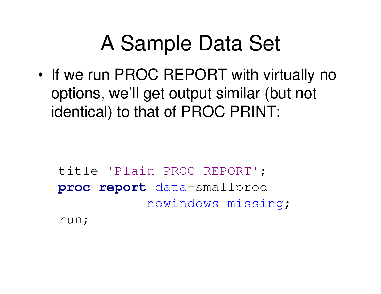• If we run PROC REPORT with virtually no options, we'll get output similar (but not identical) to that of PROC PRINT:

title 'Plain PROC REPORT'; **proc report** data=smallprod nowindows missing;

run;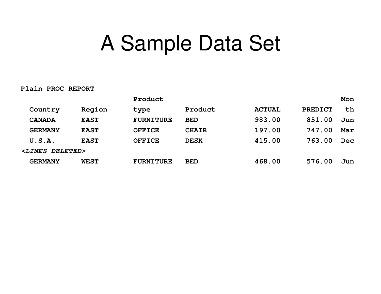#### **Plain PROC REPORT**

|                            |             | Product          |              |               |                | Mon        |
|----------------------------|-------------|------------------|--------------|---------------|----------------|------------|
| Country                    | Region      | type             | Product      | <b>ACTUAL</b> | <b>PREDICT</b> | th         |
| <b>CANADA</b>              | <b>EAST</b> | <b>FURNITURE</b> | <b>BED</b>   | 983.00        | 851.00         | Jun        |
| <b>GERMANY</b>             | <b>EAST</b> | <b>OFFICE</b>    | <b>CHAIR</b> | 197.00        | 747.00         | Mar        |
| U.S.A.                     | <b>EAST</b> | <b>OFFICE</b>    | <b>DESK</b>  | 415.00        | 763.00         | <b>Dec</b> |
| <lines deleted=""></lines> |             |                  |              |               |                |            |
| <b>GERMANY</b>             | <b>WEST</b> | <b>FURNITURE</b> | <b>BED</b>   | 468.00        | 576.00         | Jun        |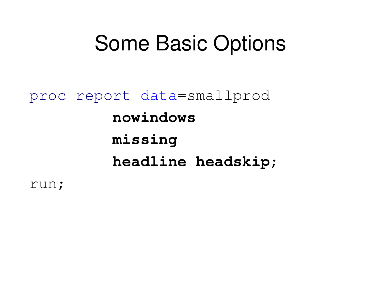#### Some Basic Options

proc report data=smallprod **nowindowsmissing headline headskip**;

run;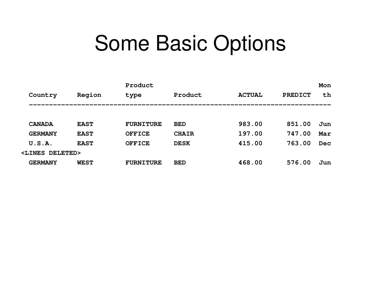#### Some Basic Options

|                            |             | Product          |              |               |                | Mon        |
|----------------------------|-------------|------------------|--------------|---------------|----------------|------------|
| Country                    | Region      | type             | Product      | <b>ACTUAL</b> | <b>PREDICT</b> | th         |
|                            |             |                  |              |               |                |            |
| <b>CANADA</b>              | <b>EAST</b> | <b>FURNITURE</b> | <b>BED</b>   | 983.00        | 851.00         | Jun        |
| <b>GERMANY</b>             | <b>EAST</b> | <b>OFFICE</b>    | <b>CHAIR</b> | 197.00        | 747.00         | Mar        |
| U.S.A.                     | <b>EAST</b> | <b>OFFICE</b>    | <b>DESK</b>  | 415.00        | 763.00         | <b>Dec</b> |
| <lines deleted=""></lines> |             |                  |              |               |                |            |
| <b>GERMANY</b>             | <b>WEST</b> | <b>FURNITURE</b> | <b>BED</b>   | 468.00        | 576.00         | Jun        |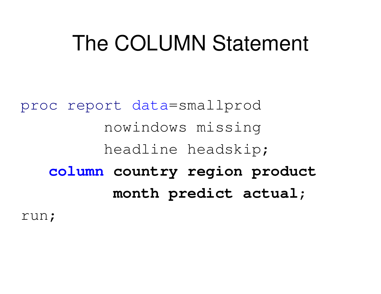#### The COLUMN Statement

proc report data=smallprod nowindows missing headline headskip; **column country region product month predict actual**;

run;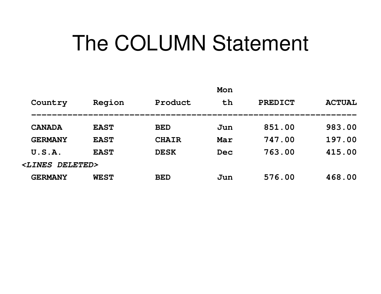### The COLUMN Statement

| th<br>Product<br>Region<br><b>PREDICT</b><br>Country           | <b>ACTUAL</b> |
|----------------------------------------------------------------|---------------|
|                                                                |               |
| 851.00<br><b>EAST</b><br><b>CANADA</b><br><b>BED</b><br>Jun    | 983.00        |
| 747.00<br><b>EAST</b><br><b>CHAIR</b><br>Mar<br><b>GERMANY</b> | 197.00        |
| 763.00<br><b>EAST</b><br>U.S.A.<br><b>DESK</b><br>Dec          | 415.00        |
| <b><lines< b=""><br/>DELETED&gt;</lines<></b>                  |               |
| 576.00<br><b>GERMANY</b><br><b>WEST</b><br><b>BED</b><br>Jun   | 468.00        |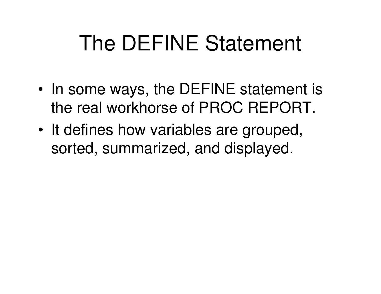## The DEFINE Statement

- In some ways, the DEFINE statement is the real workhorse of PROC REPORT.
- It defines how variables are grouped, sorted, summarized, and displayed.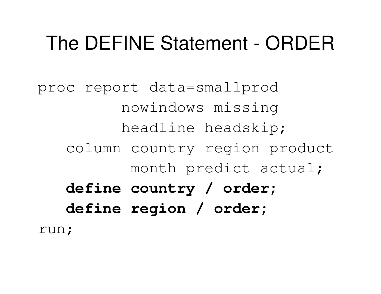proc report data=smallprod nowindows missing headline headskip; column country region product month predict actual; **define country / order; define region / order;** run;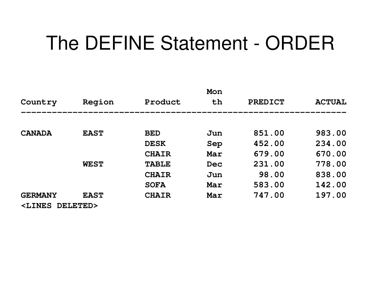|                                                                                 |             |              | Mon |                |               |
|---------------------------------------------------------------------------------|-------------|--------------|-----|----------------|---------------|
| Country                                                                         | Region      | Product      | th  | <b>PREDICT</b> | <b>ACTUAL</b> |
|                                                                                 |             |              |     |                |               |
| <b>CANADA</b>                                                                   | <b>EAST</b> | <b>BED</b>   | Jun | 851.00         | 983.00        |
|                                                                                 |             | <b>DESK</b>  | Sep | 452.00         | 234.00        |
|                                                                                 |             | <b>CHAIR</b> | Mar | 679.00         | 670.00        |
|                                                                                 | <b>WEST</b> | <b>TABLE</b> | Dec | 231.00         | 778.00        |
|                                                                                 |             | <b>CHAIR</b> | Jun | 98.00          | 838.00        |
|                                                                                 |             | <b>SOFA</b>  | Mar | 583.00         | 142.00        |
| <b>GERMANY</b>                                                                  | <b>EAST</b> | <b>CHAIR</b> | Mar | 747.00         | 197.00        |
| <lines< td=""><td>DELETED&gt;</td><td></td><td></td><td></td><td></td></lines<> | DELETED>    |              |     |                |               |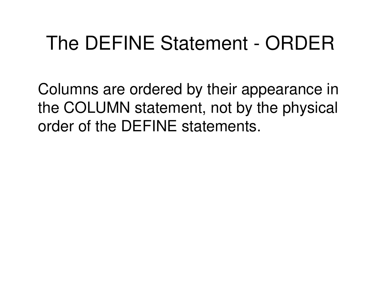Columns are ordered by their appearance in the COLUMN statement, not by the physical order of the DEFINE statements.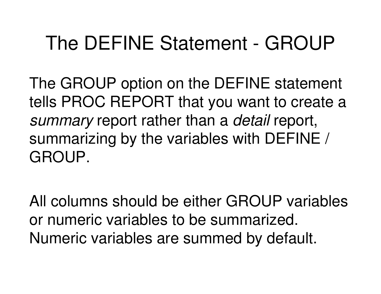#### The DEFINE Statement - GROUP

The GROUP option on the DEFINE statement tells PROC REPORT that you want to create <sup>a</sup> *summary* report rather than <sup>a</sup> *detail* report, summarizing by the variables with DEFINE / GROUP.

All columns should be either GROUP variables or numeric variables to be summarized. Numeric variables are summed by default.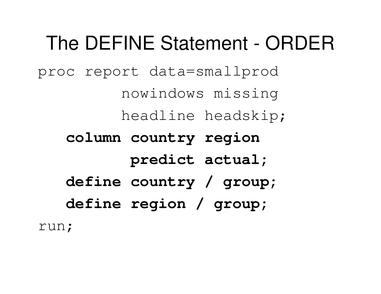proc report data=smallprod

nowindows missing

headline headskip;

**column country region**

**predict actual;**

**define country / group;**

**define region / group;**

run;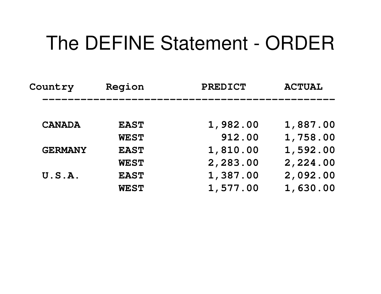| Country        | Region      | <b>PREDICT</b> |          |
|----------------|-------------|----------------|----------|
|                |             |                |          |
| <b>CANADA</b>  | <b>EAST</b> | 1,982.00       | 1,887.00 |
|                | <b>WEST</b> | 912.00         | 1,758.00 |
| <b>GERMANY</b> | <b>EAST</b> | 1,810.00       | 1,592.00 |
|                | <b>WEST</b> | 2,283.00       | 2,224.00 |
| U.S.A.         | <b>EAST</b> | 1,387.00       | 2,092.00 |
|                | <b>WEST</b> | 1,577.00       | 1,630.00 |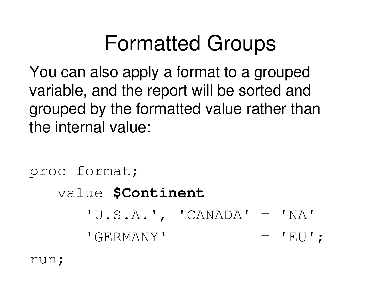## Formatted Groups

You can also apply <sup>a</sup> format to <sup>a</sup> grouped variable, and the report will be sorted and grouped by the formatted value rather than the internal value:

```
proc format;
   value $Continent
      'U.S.A.', 'CANADA' = 'NA'
      'GERMANY'= 'EU';
```
run;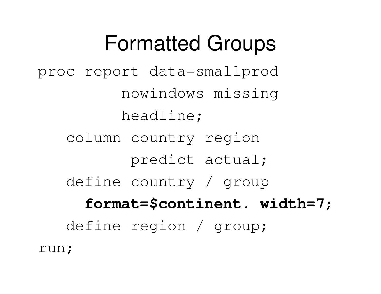## Formatted Groups

proc report data=smallprod nowindows missing headline; column country region predict actual; define country / group **format=\$continent. width=7**; define region / group; run;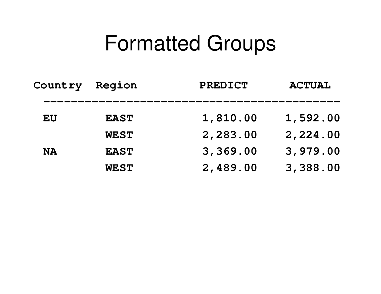#### Formatted Groups

| Country   | Region      | <b>PREDICT</b> | <b>ACTUAL</b> |
|-----------|-------------|----------------|---------------|
| EU        | <b>EAST</b> | 1,810.00       | 1,592.00      |
|           | <b>WEST</b> | 2,283.00       | 2,224.00      |
| <b>NA</b> | <b>EAST</b> | 3,369.00       | 3,979.00      |
|           | <b>WEST</b> | 2,489.00       | 3,388.00      |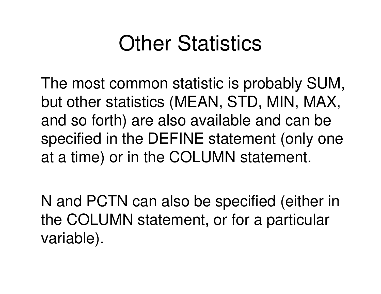## **Other Statistics**

The most common statistic is probably SUM, but other statistics (MEAN, STD, MIN, MAX, and so forth) are also available and can be specified in the DEFINE statement (only one at <sup>a</sup> time) or in the COLUMN statement.

N and PCTN can also be specified (either in the COLUMN statement, or for <sup>a</sup> particular variable).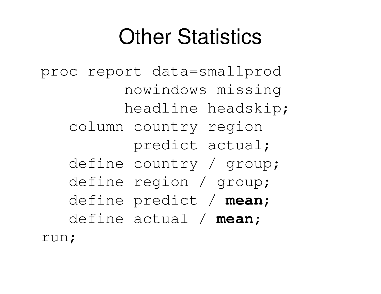## **Other Statistics**

proc report data=smallprod nowindows missing headline headskip; column country region predict actual; define country / group; define region / group; define predict / **mean**; define actual / **mean**; run;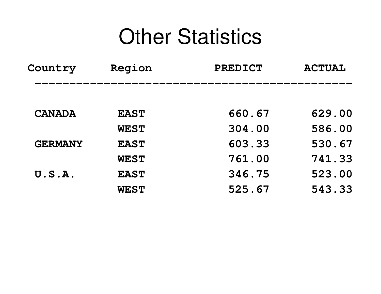#### **Other Statistics**

| <b>Country</b> | Region      | <b>PREDICT</b> | <b>ACTUAL</b> |  |
|----------------|-------------|----------------|---------------|--|
|                |             |                |               |  |
| <b>CANADA</b>  | <b>EAST</b> | 660.67         | 629.00        |  |
|                | <b>WEST</b> | 304.00         | 586.00        |  |
| <b>GERMANY</b> | <b>EAST</b> | 603.33         | 530.67        |  |
|                | <b>WEST</b> | 761.00         | 741.33        |  |
| U.S.A.         | <b>EAST</b> | 346.75         | 523.00        |  |
|                | <b>WEST</b> | 525.67         | 543.33        |  |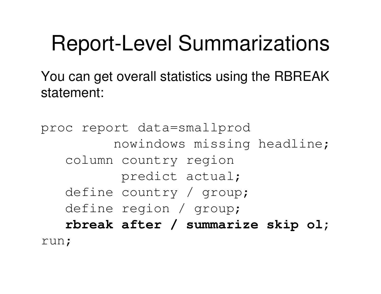### Report-Level Summarizations

You can get overall statistics using the RBREAK statement:

proc report data=smallprod nowindows missing headline; column country region predict actual; define country / group; define region / group; **rbreak after / summarize skip ol;** run;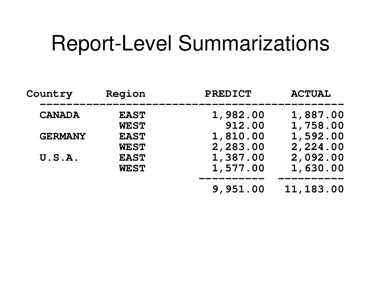#### Report-Level Summarizations

| Country        | Region      | <b>PREDICT</b> | <b>ACTUAL</b> |
|----------------|-------------|----------------|---------------|
| <b>CANADA</b>  | <b>EAST</b> | 1,982.00       | 1,887.00      |
|                | <b>WEST</b> | 912.00         | 1,758.00      |
| <b>GERMANY</b> | <b>EAST</b> | 1,810.00       | 1,592.00      |
|                | <b>WEST</b> | 2,283.00       | 2,224.00      |
| U.S.A.         | <b>EAST</b> | 1,387.00       | 2,092.00      |
|                | <b>WEST</b> | 1,577.00       | 1,630.00      |
|                |             | 9,951.00       | 11, 183.00    |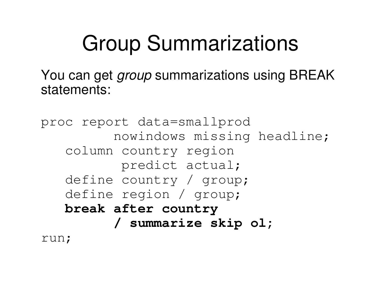## Group Summarizations

You can get *group* summarizations using BREAK statements:

```
proc report data=smallprod
         nowindows missing headline;
   column country region
          predict actual;
   define country / group;
   define region / group;
   break after country
         / summarize skip ol;
run;
```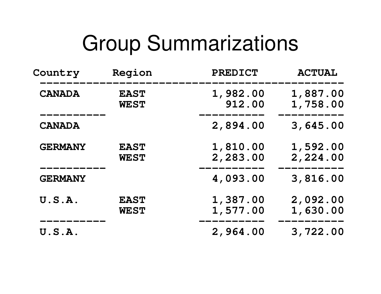#### Group Summarizations

| <b>Country</b> | Region                     | <b>PREDICT</b>       | <b>ACTUAL</b>        |
|----------------|----------------------------|----------------------|----------------------|
| <b>CANADA</b>  | <b>EAST</b><br><b>WEST</b> | 1,982.00<br>912.00   | 1,887.00<br>1,758.00 |
| <b>CANADA</b>  |                            | 2,894.00             | 3,645.00             |
| <b>GERMANY</b> | <b>EAST</b><br><b>WEST</b> | 1,810.00<br>2,283.00 | 1,592.00<br>2,224.00 |
| <b>GERMANY</b> |                            | 4,093.00             | 3,816.00             |
| U.S.A.         | <b>EAST</b><br><b>WEST</b> | 1,387.00<br>1,577.00 | 2,092.00<br>1,630.00 |
| U.S.A.         |                            | 2,964.00             | 3,722.00             |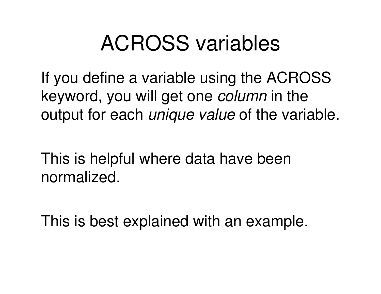## ACROSS variables

If you define <sup>a</sup> variable using the ACROSS keyword, you will get one *column* in the output for each *unique value* of the variable.

This is helpful where data have been normalized.

This is best explained with an example.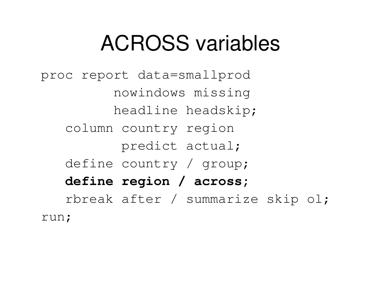## ACROSS variables

proc report data=smallprod nowindows missing headline headskip; column country region predict actual; define country / group; **define region / across;** rbreak after / summarize skip ol; run;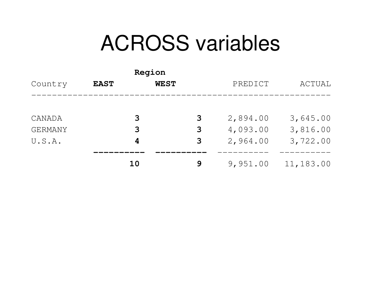#### ACROSS variables

| Country        | <b>EAST</b> | Region<br><b>WEST</b> |   | PREDICT  | ACTUAL    |
|----------------|-------------|-----------------------|---|----------|-----------|
|                |             |                       |   |          |           |
| CANADA         |             | 3                     | 3 | 2,894.00 | 3,645.00  |
| <b>GERMANY</b> |             | 3                     | 3 | 4,093.00 | 3,816.00  |
| U.S.A.         |             | 4                     | 3 | 2,964.00 | 3,722.00  |
|                |             | 10                    | 9 | 9,951.00 | 11,183.00 |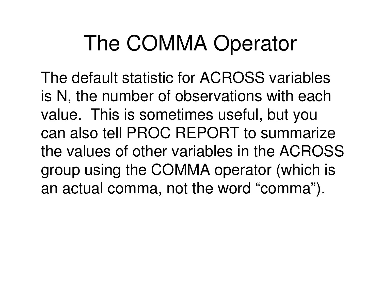The default statistic for ACROSS variables is N, the number of observations with each value. This is sometimes useful, but you can also tell PROC REPORT to summarize the values of other variables in the ACROSS group using the COMMA operator (which is an actual comma, not the word "comma").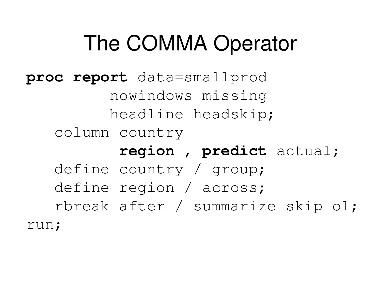**proc report** data=smallprod nowindows missing headline headskip; column country **region , predict** actual; define country / group; define region / across; rbreak after / summarize skip ol; run;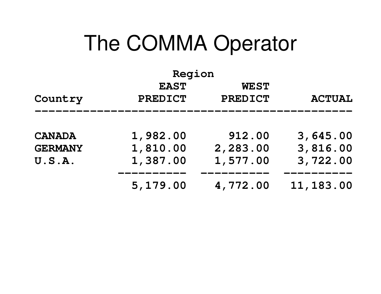| Region         |                |                |               |  |  |
|----------------|----------------|----------------|---------------|--|--|
|                | <b>EAST</b>    | <b>WEST</b>    |               |  |  |
| Country        | <b>PREDICT</b> | <b>PREDICT</b> | <b>ACTUAL</b> |  |  |
|                |                |                |               |  |  |
| <b>CANADA</b>  | 1,982.00       | 912.00         | 3,645.00      |  |  |
| <b>GERMANY</b> | 1,810.00       | 2,283.00       | 3,816.00      |  |  |
| U.S.A.         | 1,387.00       | 1,577.00       | 3,722.00      |  |  |
|                | 5,179.00       | 4,772.00       | 11, 183.00    |  |  |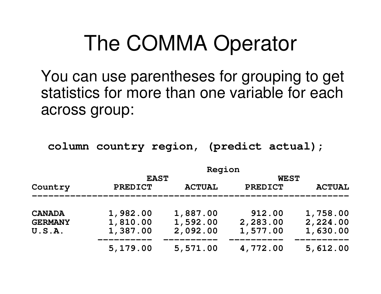You can use parentheses for grouping to get statistics for more than one variable for each across group:

**column country region, (predict actual);**

|                |                | Region        |                |               |
|----------------|----------------|---------------|----------------|---------------|
|                | <b>EAST</b>    |               | <b>WEST</b>    |               |
| Country        | <b>PREDICT</b> | <b>ACTUAL</b> | <b>PREDICT</b> | <b>ACTUAL</b> |
| <b>CANADA</b>  | 1,982.00       | 1,887.00      | 912.00         | 1,758.00      |
| <b>GERMANY</b> | 1,810.00       | 1,592.00      | 2,283.00       | 2,224.00      |
| U.S.A.         | 1,387.00       | 2,092.00      | 1,577.00       | 1,630.00      |
|                | 5,179.00       | 5,571.00      | 4,772.00       | 5,612.00      |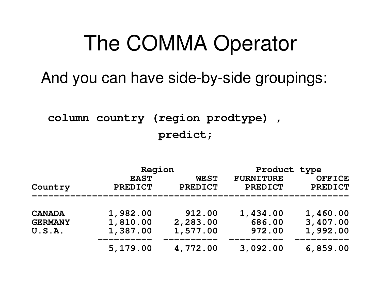And you can have side-by-side groupings:

**column country (region prodtype) , predict;**

|                                 | Region                        |                               | Product type                       |                                 |  |
|---------------------------------|-------------------------------|-------------------------------|------------------------------------|---------------------------------|--|
| Country                         | <b>EAST</b><br><b>PREDICT</b> | <b>WEST</b><br><b>PREDICT</b> | <b>FURNITURE</b><br><b>PREDICT</b> | <b>OFFICE</b><br><b>PREDICT</b> |  |
| <b>CANADA</b><br><b>GERMANY</b> | 1,982.00<br>1,810.00          | 912.00<br>2,283.00            | 1,434.00<br>686.00                 | 1,460.00<br>3,407.00            |  |
| U.S.A.                          | 1,387.00                      | 1,577.00                      | 972.00                             | 1,992.00                        |  |
|                                 | 5,179.00                      | 4,772.00                      | 3,092.00                           | 6,859.00                        |  |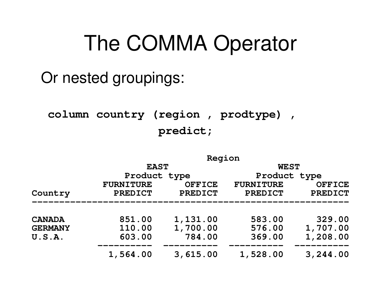#### Or nested groupings:

#### **column country (region , prodtype) , predict;**

|                |                  | Region         |                  |                |
|----------------|------------------|----------------|------------------|----------------|
|                | <b>EAST</b>      |                | <b>WEST</b>      |                |
|                | Product type     |                | Product type     |                |
|                | <b>FURNITURE</b> | <b>OFFICE</b>  | <b>FURNITURE</b> | <b>OFFICE</b>  |
| Country        | <b>PREDICT</b>   | <b>PREDICT</b> | <b>PREDICT</b>   | <b>PREDICT</b> |
|                |                  |                |                  |                |
| <b>CANADA</b>  | 851.00           | 1,131.00       | 583.00           | 329.00         |
| <b>GERMANY</b> | 110.00           | 1,700.00       | 576.00           | 1,707.00       |
| U.S.A.         | 603.00           | 784.00         | 369.00           | 1,208.00       |
|                | 1,564.00         | 3,615.00       | 1,528.00         | 3,244.00       |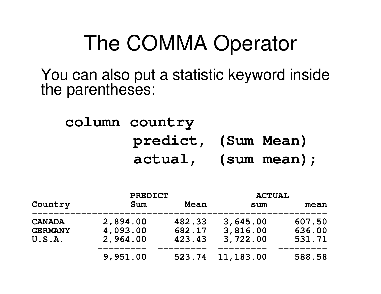You can also put <sup>a</sup> statistic keyword inside the parentheses:

#### **column country predict, (Sum Mean) actual, (sum mean);**

|                | <b>PREDICT</b> |        | <b>ACTUAL</b> |        |
|----------------|----------------|--------|---------------|--------|
| Country        | Sum            | Mean   | sum           | mean   |
| <b>CANADA</b>  | 2,894.00       | 482.33 | 3,645.00      | 607.50 |
| <b>GERMANY</b> | 4,093.00       | 682.17 | 3,816.00      | 636.00 |
| U.S.A.         | 2,964.00       | 423.43 | 3,722.00      | 531.71 |
|                | 9,951.00       | 523.74 | 11,183.00     | 588.58 |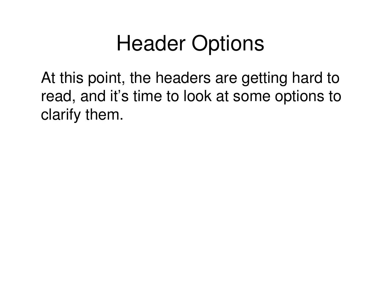## Header Options

At this point, the headers are getting hard to read, and it's time to look at some options to clarify them.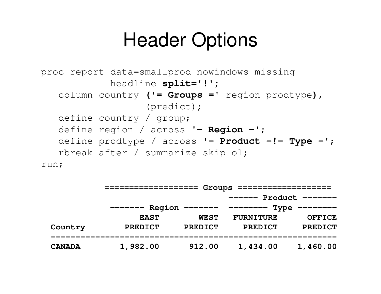#### Header Options

```
proc report data=smallprod nowindows missing
            headline split='!';
   column country ('= Groups =' region prodtype),
                  (predict);
   define country / group;
   define region / across '- Region -';
   define prodtype / across '- Product -!- Type -';
   rbreak after / summarize skip ol;
```
run;

|               | $Groups$ =========<br>==================== |                |                                 |                   |  |
|---------------|--------------------------------------------|----------------|---------------------------------|-------------------|--|
|               |                                            |                | $------$                        | $Product$ ------- |  |
|               | Region<br>--------                         |                | ------- --------<br><b>Type</b> | ————————          |  |
|               | <b>EAST</b>                                | <b>WEST</b>    | <b>FURNITURE</b>                | <b>OFFICE</b>     |  |
| Country       | <b>PREDICT</b>                             | <b>PREDICT</b> | <b>PREDICT</b>                  | <b>PREDICT</b>    |  |
| <b>CANADA</b> | 1,982.00                                   | 912.00         | 1,434.00                        | 1,460.00          |  |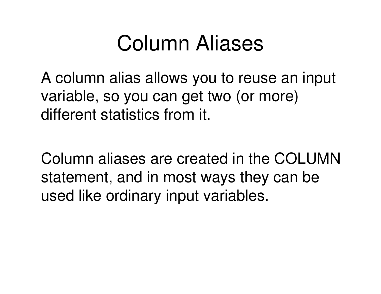### Column Aliases

A column alias allows you to reuse an input variable, so you can get two (or more) different statistics from it.

Column aliases are created in the COLUMNstatement, and in most ways they can be used like ordinary input variables.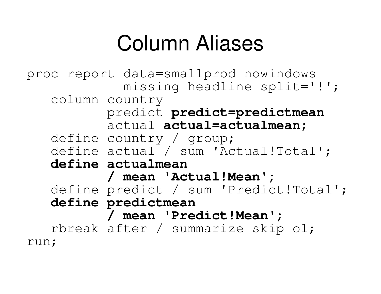## Column Aliases

proc report data=smallprod nowindows missing headline split='!'; column country predict **predict=predictmean** actual **actual=actualmean;** define country / group; define actual / sum 'Actual!Total'; **define actualmean / mean 'Actual!Mean';** define predict / sum 'Predict!Total'; **define predictmean / mean 'Predict!Mean';** rbreak after / summarize skip ol; run;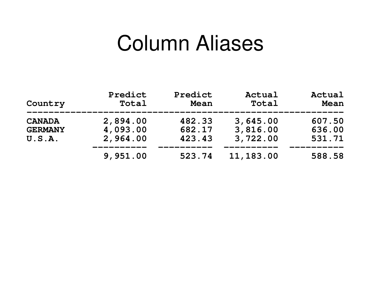#### Column Aliases

| Country        | Predict<br>Total | Predict<br>Mean | Actual<br>Total | Actual<br>Mean |
|----------------|------------------|-----------------|-----------------|----------------|
| <b>CANADA</b>  | 2,894.00         | 482.33          | 3,645.00        | 607.50         |
| <b>GERMANY</b> | 4,093.00         | 682.17          | 3,816.00        | 636.00         |
| U.S.A.         | 2,964.00         | 423.43          | 3,722.00        | 531.71         |
|                | 9,951.00         | 523.74          | 11, 183.00      | 588.58         |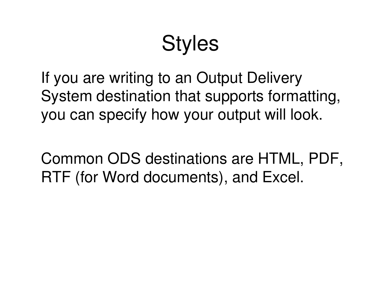## **Styles**

If you are writing to an Output Delivery System destination that supports formatting, you can specify how your output will look.

Common ODS destinations are HTML, PDF, RTF (for Word documents), and Excel.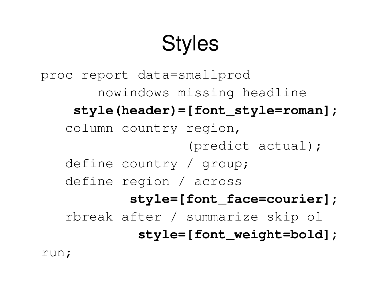# **Styles**

proc report data=smallprod nowindows missing headline **style(header)=[font\_style=roman];** column country region, (predict actual); define country / group; define region / across **style=[font\_face=courier];** rbreak after / summarize skip ol **style=[font\_weight=bold];**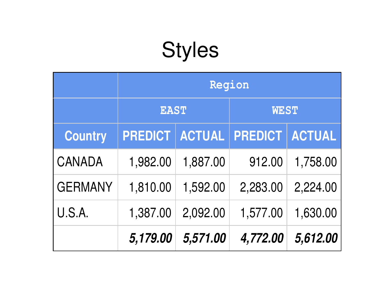# Styles

|                | Region         |               |             |               |
|----------------|----------------|---------------|-------------|---------------|
|                | <b>EAST</b>    |               | <b>WEST</b> |               |
| <b>Country</b> | <b>PREDICT</b> | <b>ACTUAL</b> | PREDICT     | <b>ACTUAL</b> |
| <b>CANADA</b>  | 1,982.00       | 1,887.00      | 912.00      | 1,758.00      |
| <b>GERMANY</b> | 1,810.00       | 1,592.00      | 2,283.00    | 2,224.00      |
| U.S.A.         | 1,387.00       | 2,092.00      | 1,577.00    | 1,630.00      |
|                | 5,179.00       | 5,571.00      | 4,772.00    | 5,612.00      |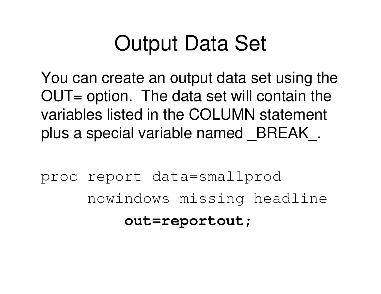## Output Data Set

You can create an output data set using the  $OUT = option$ . The data set will contain the variables listed in the COLUMN statement plus <sup>a</sup> special variable named \_BREAK\_.

proc report data=smallprod nowindows missing headline **out=reportout**;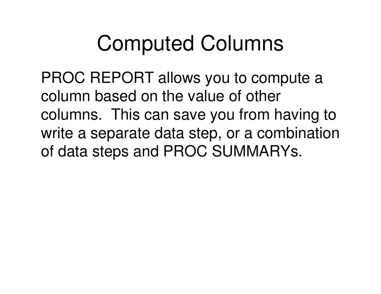PROC REPORT allows you to compute <sup>a</sup> column based on the value of other columns. This can save you from having to write <sup>a</sup> separate data step, or <sup>a</sup> combination of data steps and PROC SUMMARYs.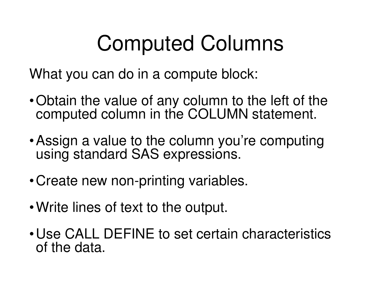What you can do in <sup>a</sup> compute block:

- •Obtain the value of any column to the left of the computed column in the COLUMN statement.
- •Assign <sup>a</sup> value to the column you're computing using standard SAS expressions.
- •Create new non-printing variables.
- •Write lines of text to the output.
- •Use CALL DEFINE to set certain characteristics of the data.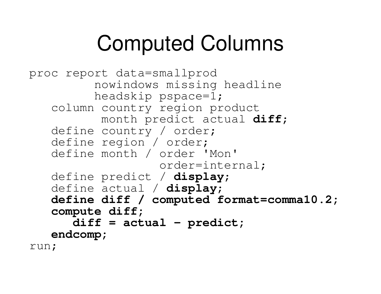```
proc report data=smallprod
          nowindows missing headline
          headskip pspace=1;
   column country region product
           month predict actual diff;
   define country / order;
   define region / order;
   define month / order 'Mon'
                    order=internal;
   define predict / display;
   define actual / display;
   define diff / computed format=comma10.2;
   c
o
mp
u
t
e
d
i
f
f
;
      d
i
f
f
=
a
c
t
u
a
l
-
p
r
e
d
i
c
t
;
   e
n
d
c
o
mp
;
run;
```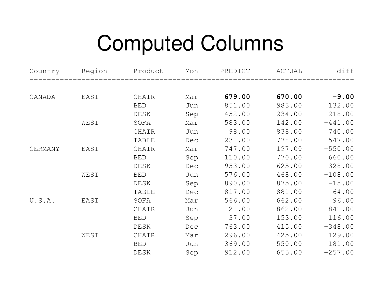| Country        |      | Region Product | Mon | PREDICT | ACTUAL | diff      |
|----------------|------|----------------|-----|---------|--------|-----------|
|                |      |                |     |         |        |           |
| CANADA         | EAST | CHAIR          | Mar | 679.00  | 670.00 | $-9.00$   |
|                |      | <b>BED</b>     | Jun | 851.00  | 983.00 | 132.00    |
|                |      | DESK           | Sep | 452.00  | 234.00 | $-218.00$ |
|                | WEST | SOFA           | Mar | 583.00  | 142.00 | $-441.00$ |
|                |      | CHAIR          | Jun | 98.00   | 838.00 | 740.00    |
|                |      | <b>TABLE</b>   | Dec | 231.00  | 778.00 | 547.00    |
| <b>GERMANY</b> | EAST | CHAIR          | Mar | 747.00  | 197.00 | $-550.00$ |
|                |      | <b>BED</b>     | Sep | 110.00  | 770.00 | 660.00    |
|                |      | DESK           | Dec | 953.00  | 625.00 | $-328.00$ |
|                | WEST | <b>BED</b>     | Jun | 576.00  | 468.00 | $-108.00$ |
|                |      | DESK           | Sep | 890.00  | 875.00 | $-15.00$  |
|                |      | <b>TABLE</b>   | Dec | 817.00  | 881.00 | 64.00     |
| U.S.A.         | EAST | SOFA           | Mar | 566.00  | 662.00 | 96.00     |
|                |      | CHAIR          | Jun | 21.00   | 862.00 | 841.00    |
|                |      | <b>BED</b>     | Sep | 37.00   | 153.00 | 116.00    |
|                |      | DESK           | Dec | 763.00  | 415.00 | $-348.00$ |
|                | WEST | CHAIR          | Mar | 296.00  | 425.00 | 129.00    |
|                |      | <b>BED</b>     | Jun | 369.00  | 550.00 | 181.00    |
|                |      | DESK           | Sep | 912.00  | 655.00 | $-257.00$ |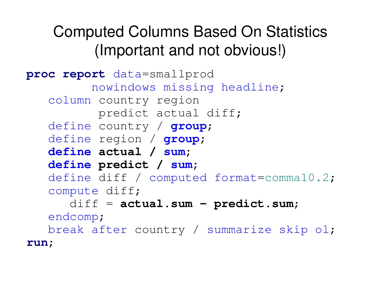#### Computed Columns Based On Statistics (Important and not obvious!)

```
proc report data=smallprod
         nowindows missing headline;
   column country region
          predict actual diff;
   define country / group;
   define region / group;
   define actual / sum;
   define predict / sum;
   define diff / computed format=comma10.2;
   compute diff;
      diff = actual.sum - predict.sum;
   endcomp;
   break after country / summarize skip ol;
run;
```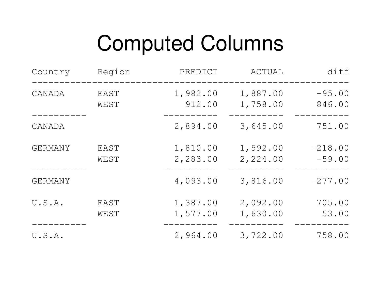| Country        | Region       | PREDICT              | ACTUAL               | diff                  |
|----------------|--------------|----------------------|----------------------|-----------------------|
| CANADA         | EAST<br>WEST | 1,982.00<br>912.00   | 1,887.00<br>1,758.00 | $-95.00$<br>846.00    |
| CANADA         |              | 2,894.00             | 3,645.00             | 751.00                |
| GERMANY        | EAST<br>WEST | 1,810.00<br>2,283.00 | 1,592.00<br>2,224.00 | $-218.00$<br>$-59.00$ |
| <b>GERMANY</b> |              | 4,093.00             | 3,816.00             | $-277.00$             |
| U.S.A.         | EAST<br>WEST | 1,387.00<br>1,577.00 | 2,092.00<br>1,630.00 | 705.00<br>53.00       |
| U.S.A.         |              | 2,964.00             | 3,722.00             | 758.00                |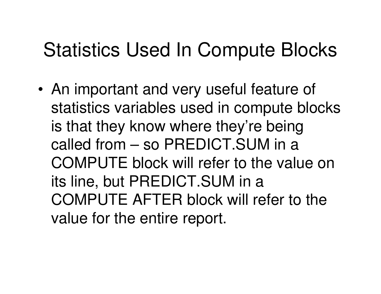#### Statistics Used In Compute Blocks

• An important and very useful feature of statistics variables used in compute blocks is that they know where they're being called from – so PREDICT.SUM in a COMPUTE block will refer to the value on its line, but PREDICT.SUM in <sup>a</sup> COMPUTE AFTER block will refer to the value for the entire report.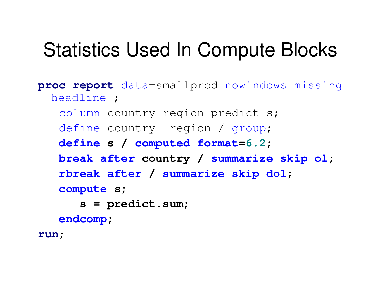#### Statistics Used In Compute Blocks

```
proc report data=smallprod nowindows missing
  headline ;
   column country region predict s;
   define country--region / group;
   define s / computed format=6.2;
   break after country / summarize skip ol;
   rbreak after / summarize skip dol;
   compute s;
      s = predict.sum;
   endcomp;
run;
```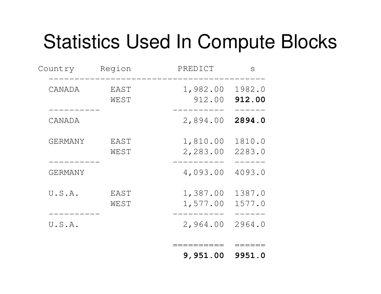#### Statistics Used In Compute Blocks

| Country        | Region       | PREDICT              | S                |
|----------------|--------------|----------------------|------------------|
| CANADA         | EAST<br>WEST | 1,982.00<br>912.00   | 1982.0<br>912.00 |
| CANADA         |              | 2,894.00             | 2894.0           |
| <b>GERMANY</b> | EAST<br>WEST | 1,810.00<br>2,283.00 | 1810.0<br>2283.0 |
| <b>GERMANY</b> |              | 4,093.00             | 4093.0           |
| U.S.A.         | EAST<br>WEST | 1,387.00<br>1,577.00 | 1387.0<br>1577.0 |
| U.S.A.         |              | 2,964.00             | 2964.0           |
|                |              | 9,951.00             | 9951.0           |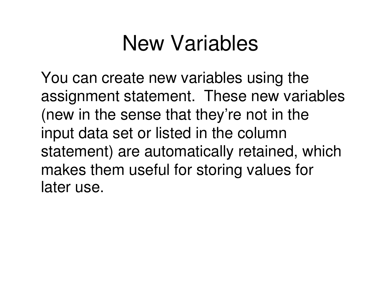### New Variables

You can create new variables using the assignment statement. These new variables (new in the sense that they're not in the input data set or listed in the column statement) are automatically retained, which makes them useful for storing values for later use.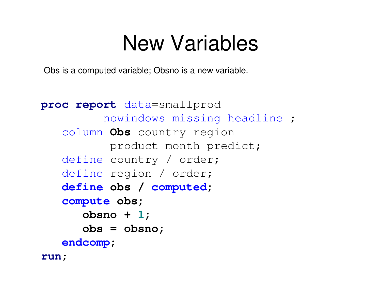#### New Variables

Obs is a computed variable; Obsno is <sup>a</sup> new variable.

```
proc report data=smallprod
         nowindows missing headline ;
   column Obs country region
          product month predict;
   define country / order;
   define region / order;
   define obs / computed;
   compute obs;
      obsno + 1;
      obs = obsno;
   endcomp;
run;
```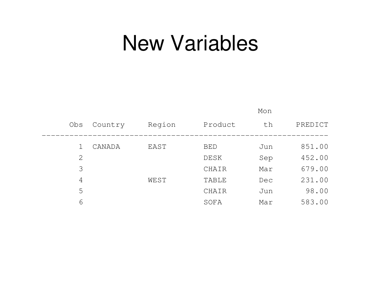#### New Variables

|                |         |        |              | Mon |         |
|----------------|---------|--------|--------------|-----|---------|
| Obs            | Country | Region | Product      | th  | PREDICT |
|                |         |        |              |     |         |
|                | CANADA  | EAST   | <b>BED</b>   | Jun | 851.00  |
| $\overline{2}$ |         |        | DESK         | Sep | 452.00  |
| 3              |         |        | CHAIR        | Mar | 679.00  |
| 4              |         | WEST   | <b>TABLE</b> | Dec | 231.00  |
| 5              |         |        | CHAIR        | Jun | 98.00   |
| 6              |         |        | SOFA         | Mar | 583.00  |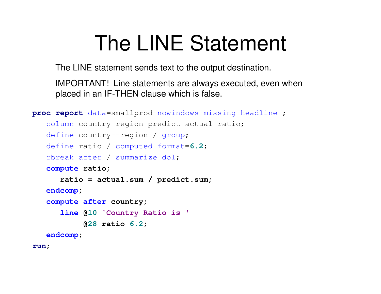## The LINE Statement

The LINE statement sends text to the output destination.

IMPORTANT! Line statements are always executed, even when placed in an IF-THEN clause which is false.

```
proc report data=smallprod nowindows missing headline ;
   column country region predict actual ratio;
   define country--region / group;
   define ratio / computed format=6.2;
   rbreak after / summarize dol;
   compute ratio;
      ratio = actual.sum / predict.sum;
   endcomp;
   compute after country;
      line @10 'Country Ratio is '
           @28 ratio 6.2;
   endcomp;
run;
```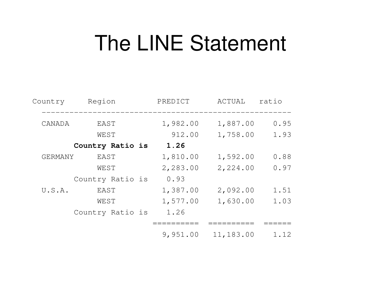#### The LINE Statement

| Country        | Region           | PREDICT  | <b>ACTUAL</b> | ratio |
|----------------|------------------|----------|---------------|-------|
| CANADA         | EAST             | 1,982.00 | 1,887.00      | 0.95  |
|                | WEST             | 912.00   | 1,758.00      | 1.93  |
|                | Country Ratio is | 1.26     |               |       |
| <b>GERMANY</b> | EAST             | 1,810.00 | 1,592.00      | 0.88  |
|                | WEST             | 2,283.00 | 2,224.00      | 0.97  |
|                | Country Ratio is | 0.93     |               |       |
| U.S.A.         | EAST             | 1,387.00 | 2,092.00      | 1.51  |
|                | WEST             | 1,577.00 | 1,630.00      | 1.03  |
|                | Country Ratio is | 1.26     |               |       |
|                |                  |          |               |       |
|                |                  | 9,951.00 | 11,183.00     | 1.12  |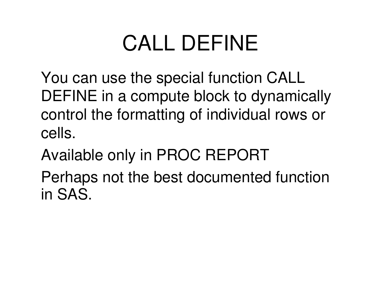## CALL DEFINE

You can use the special function CALL DEFINE in <sup>a</sup> compute block to dynamically control the formatting of individual rows or cells.

Available only in PROC REPORT

Perhaps not the best documented function in SAS.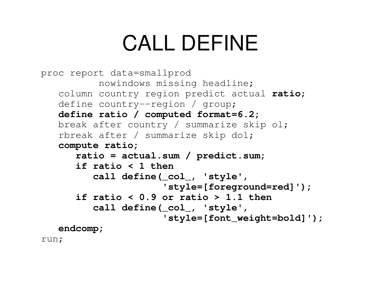## CALL DEFINE

```
proc report data=smallprod
          nowindows missing headline;
   column country region predict actual ratio;
   define country--region / group;
   define ratio / computed format=6.2;
   break after country / summarize skip ol;
   rbreak after / summarize skip dol;
   compute ratio;
      ratio = actual.sum / predict.sum;
      if ratio < 1 then
         call define(_col_, 'style',
                      'style=[foreground=red]');
      if ratio < 0.9 or ratio > 1.1 then
         call define(_col_, 'style',
                      'style=[font_weight=bold]');
   endcomp;
run;
```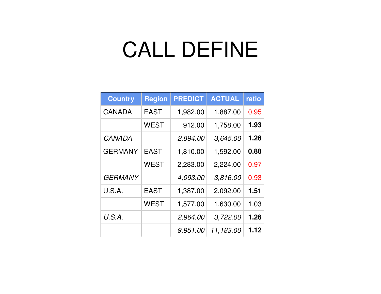### CALL DEFINE

| <b>Country</b> | <b>Region</b> | <b>PREDICT</b> | <b>ACTUAL</b> | ratio |
|----------------|---------------|----------------|---------------|-------|
| <b>CANADA</b>  | <b>EAST</b>   | 1,982.00       | 1,887.00      | 0.95  |
|                | <b>WEST</b>   | 912.00         | 1,758.00      | 1.93  |
| <b>CANADA</b>  |               | 2,894.00       | 3,645.00      | 1.26  |
| <b>GERMANY</b> | <b>EAST</b>   | 1,810.00       | 1,592.00      | 0.88  |
|                | <b>WEST</b>   | 2,283.00       | 2,224.00      | 0.97  |
| <b>GERMANY</b> |               | 4,093.00       | 3,816.00      | 0.93  |
| U.S.A.         | <b>EAST</b>   | 1,387.00       | 2,092.00      | 1.51  |
|                | <b>WEST</b>   | 1,577.00       | 1,630.00      | 1.03  |
| U.S.A.         |               | 2,964.00       | 3,722.00      | 1.26  |
|                |               | 9,951.00       | 11,183.00     | 1.12  |